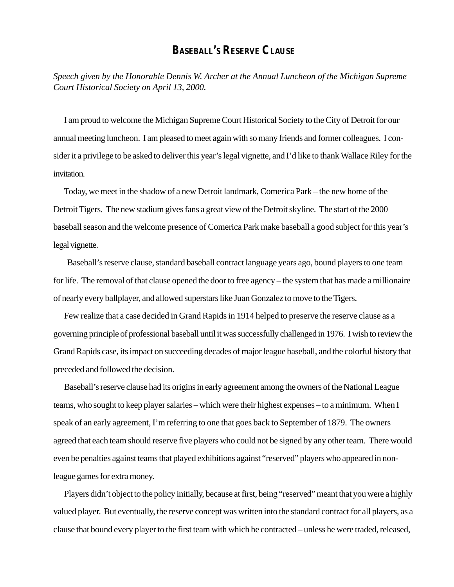## **BASEBALL'S RESERVE CLAUSE**

*Speech given by the Honorable Dennis W. Archer at the Annual Luncheon of the Michigan Supreme Court Historical Society on April 13, 2000.*

I am proud to welcome the Michigan Supreme Court Historical Society to the City of Detroit for our annual meeting luncheon. I am pleased to meet again with so many friends and former colleagues. I consider it a privilege to be asked to deliver this year's legal vignette, and I'd like to thank Wallace Riley for the invitation.

Today, we meet in the shadow of a new Detroit landmark, Comerica Park – the new home of the Detroit Tigers. The new stadium gives fans a great view of the Detroit skyline. The start of the 2000 baseball season and the welcome presence of Comerica Park make baseball a good subject for this year's legal vignette.

 Baseball's reserve clause, standard baseball contract language years ago, bound players to one team for life. The removal of that clause opened the door to free agency – the system that has made a millionaire of nearly every ballplayer, and allowed superstars like Juan Gonzalez to move to the Tigers.

Few realize that a case decided in Grand Rapids in 1914 helped to preserve the reserve clause as a governing principle of professional baseball until it was successfully challenged in 1976. I wish to review the Grand Rapids case, its impact on succeeding decades of major league baseball, and the colorful history that preceded and followed the decision.

Baseball's reserve clause had its origins in early agreement among the owners of the National League teams, who sought to keep player salaries – which were their highest expenses – to a minimum. When I speak of an early agreement, I'm referring to one that goes back to September of 1879. The owners agreed that each team should reserve five players who could not be signed by any other team. There would even be penalties against teams that played exhibitions against "reserved" players who appeared in nonleague games for extra money.

Players didn't object to the policy initially, because at first, being "reserved" meant that you were a highly valued player. But eventually, the reserve concept was written into the standard contract for all players, as a clause that bound every player to the first team with which he contracted – unless he were traded, released,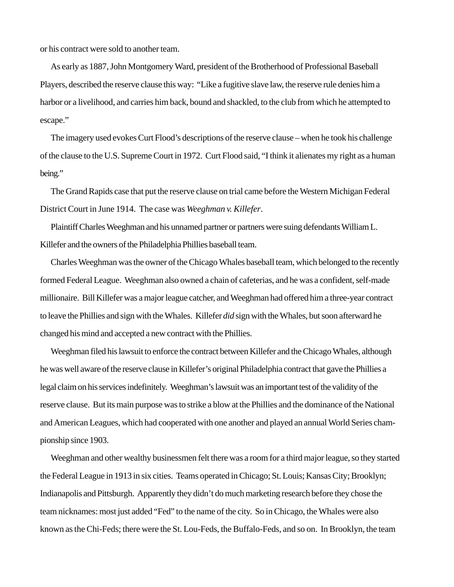or his contract were sold to another team.

As early as 1887, John Montgomery Ward, president of the Brotherhood of Professional Baseball Players, described the reserve clause this way: "Like a fugitive slave law, the reserve rule denies him a harbor or a livelihood, and carries him back, bound and shackled, to the club from which he attempted to escape."

The imagery used evokes Curt Flood's descriptions of the reserve clause – when he took his challenge of the clause to the U.S. Supreme Court in 1972. Curt Flood said, "I think it alienates my right as a human being."

The Grand Rapids case that put the reserve clause on trial came before the Western Michigan Federal District Court in June 1914. The case was *Weeghman v. Killefer*.

Plaintiff Charles Weeghman and his unnamed partner or partners were suing defendants William L. Killefer and the owners of the Philadelphia Phillies baseball team.

Charles Weeghman was the owner of the Chicago Whales baseball team, which belonged to the recently formed Federal League. Weeghman also owned a chain of cafeterias, and he was a confident, self-made millionaire. Bill Killefer was a major league catcher, and Weeghman had offered him a three-year contract to leave the Phillies and sign with the Whales. Killefer *did* sign with the Whales, but soon afterward he changed his mind and accepted a new contract with the Phillies.

Weeghman filed his lawsuit to enforce the contract between Killefer and the Chicago Whales, although he was well aware of the reserve clause in Killefer's original Philadelphia contract that gave the Phillies a legal claim on his services indefinitely. Weeghman's lawsuit was an important test of the validity of the reserve clause. But its main purpose was to strike a blow at the Phillies and the dominance of the National and American Leagues, which had cooperated with one another and played an annual World Series championship since 1903.

Weeghman and other wealthy businessmen felt there was a room for a third major league, so they started the Federal League in 1913 in six cities. Teams operated in Chicago; St. Louis; Kansas City; Brooklyn; Indianapolis and Pittsburgh. Apparently they didn't do much marketing research before they chose the team nicknames: most just added "Fed" to the name of the city. So in Chicago, the Whales were also known as the Chi-Feds; there were the St. Lou-Feds, the Buffalo-Feds, and so on. In Brooklyn, the team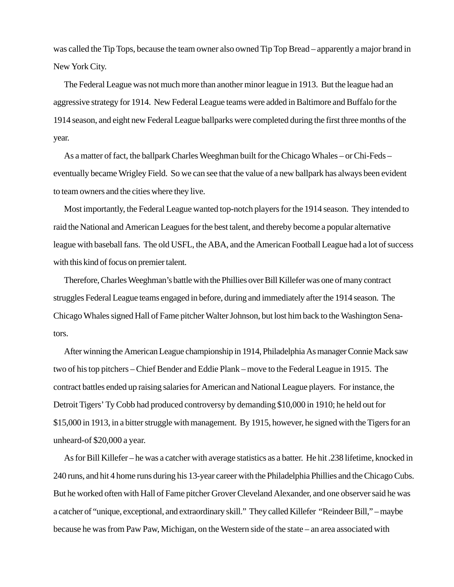was called the Tip Tops, because the team owner also owned Tip Top Bread – apparently a major brand in New York City.

The Federal League was not much more than another minor league in 1913. But the league had an aggressive strategy for 1914. New Federal League teams were added in Baltimore and Buffalo for the 1914 season, and eight new Federal League ballparks were completed during the first three months of the year.

As a matter of fact, the ballpark Charles Weeghman built for the Chicago Whales – or Chi-Feds – eventually became Wrigley Field. So we can see that the value of a new ballpark has always been evident to team owners and the cities where they live.

Most importantly, the Federal League wanted top-notch players for the 1914 season. They intended to raid the National and American Leagues for the best talent, and thereby become a popular alternative league with baseball fans. The old USFL, the ABA, and the American Football League had a lot of success with this kind of focus on premier talent.

Therefore, Charles Weeghman's battle with the Phillies over Bill Killefer was one of many contract struggles Federal League teams engaged in before, during and immediately after the 1914 season. The Chicago Whales signed Hall of Fame pitcher Walter Johnson, but lost him back to the Washington Senators.

After winning the American League championship in 1914, Philadelphia As manager Connie Mack saw two of his top pitchers – Chief Bender and Eddie Plank – move to the Federal League in 1915. The contract battles ended up raising salaries for American and National League players. For instance, the Detroit Tigers' Ty Cobb had produced controversy by demanding \$10,000 in 1910; he held out for \$15,000 in 1913, in a bitter struggle with management. By 1915, however, he signed with the Tigers for an unheard-of \$20,000 a year.

As for Bill Killefer – he was a catcher with average statistics as a batter. He hit .238 lifetime, knocked in 240 runs, and hit 4 home runs during his 13-year career with the Philadelphia Phillies and the Chicago Cubs. But he worked often with Hall of Fame pitcher Grover Cleveland Alexander, and one observer said he was a catcher of "unique, exceptional, and extraordinary skill." They called Killefer "Reindeer Bill," – maybe because he was from Paw Paw, Michigan, on the Western side of the state – an area associated with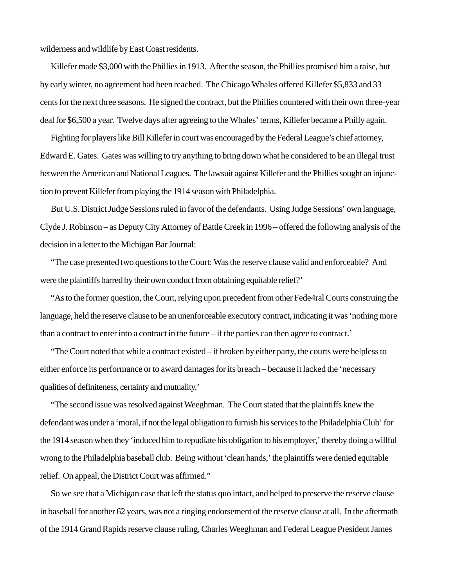wilderness and wildlife by East Coast residents.

Killefer made \$3,000 with the Phillies in 1913. After the season, the Phillies promised him a raise, but by early winter, no agreement had been reached. The Chicago Whales offered Killefer \$5,833 and 33 cents for the next three seasons. He signed the contract, but the Phillies countered with their own three-year deal for \$6,500 a year. Twelve days after agreeing to the Whales' terms, Killefer became a Philly again.

Fighting for players like Bill Killefer in court was encouraged by the Federal League's chief attorney, Edward E. Gates. Gates was willing to try anything to bring down what he considered to be an illegal trust between the American and National Leagues. The lawsuit against Killefer and the Phillies sought an injunction to prevent Killefer from playing the 1914 season with Philadelphia.

But U.S. District Judge Sessions ruled in favor of the defendants. Using Judge Sessions' own language, Clyde J. Robinson – as Deputy City Attorney of Battle Creek in 1996 – offered the following analysis of the decision in a letter to the Michigan Bar Journal:

"The case presented two questions to the Court: Was the reserve clause valid and enforceable? And were the plaintiffs barred by their own conduct from obtaining equitable relief?'

"As to the former question, the Court, relying upon precedent from other Fede4ral Courts construing the language, held the reserve clause to be an unenforceable executory contract, indicating it was 'nothing more than a contract to enter into a contract in the future – if the parties can then agree to contract.'

"The Court noted that while a contract existed – if broken by either party, the courts were helpless to either enforce its performance or to award damages for its breach – because it lacked the 'necessary qualities of definiteness, certainty and mutuality.'

"The second issue was resolved against Weeghman. The Court stated that the plaintiffs knew the defendant was under a 'moral, if not the legal obligation to furnish his services to the Philadelphia Club' for the 1914 season when they 'induced him to repudiate his obligation to his employer,' thereby doing a willful wrong to the Philadelphia baseball club. Being without 'clean hands,' the plaintiffs were denied equitable relief. On appeal, the District Court was affirmed."

So we see that a Michigan case that left the status quo intact, and helped to preserve the reserve clause in baseball for another 62 years, was not a ringing endorsement of the reserve clause at all. In the aftermath of the 1914 Grand Rapids reserve clause ruling, Charles Weeghman and Federal League President James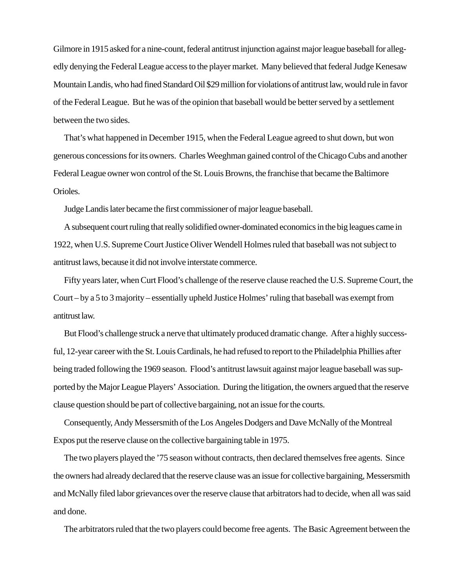Gilmore in 1915 asked for a nine-count, federal antitrust injunction against major league baseball for allegedly denying the Federal League access to the player market. Many believed that federal Judge Kenesaw Mountain Landis, who had fined Standard Oil \$29 million for violations of antitrust law, would rule in favor of the Federal League. But he was of the opinion that baseball would be better served by a settlement between the two sides.

That's what happened in December 1915, when the Federal League agreed to shut down, but won generous concessions for its owners. Charles Weeghman gained control of the Chicago Cubs and another Federal League owner won control of the St. Louis Browns, the franchise that became the Baltimore Orioles.

Judge Landis later became the first commissioner of major league baseball.

A subsequent court ruling that really solidified owner-dominated economics in the big leagues came in 1922, when U.S. Supreme Court Justice Oliver Wendell Holmes ruled that baseball was not subject to antitrust laws, because it did not involve interstate commerce.

Fifty years later, when Curt Flood's challenge of the reserve clause reached the U.S. Supreme Court, the Court – by a 5 to 3 majority – essentially upheld Justice Holmes' ruling that baseball was exempt from antitrust law.

But Flood's challenge struck a nerve that ultimately produced dramatic change. After a highly successful, 12-year career with the St. Louis Cardinals, he had refused to report to the Philadelphia Phillies after being traded following the 1969 season. Flood's antitrust lawsuit against major league baseball was supported by the Major League Players' Association. During the litigation, the owners argued that the reserve clause question should be part of collective bargaining, not an issue for the courts.

Consequently, Andy Messersmith of the Los Angeles Dodgers and Dave McNally of the Montreal Expos put the reserve clause on the collective bargaining table in 1975.

The two players played the '75 season without contracts, then declared themselves free agents. Since the owners had already declared that the reserve clause was an issue for collective bargaining, Messersmith and McNally filed labor grievances over the reserve clause that arbitrators had to decide, when all was said and done.

The arbitrators ruled that the two players could become free agents. The Basic Agreement between the